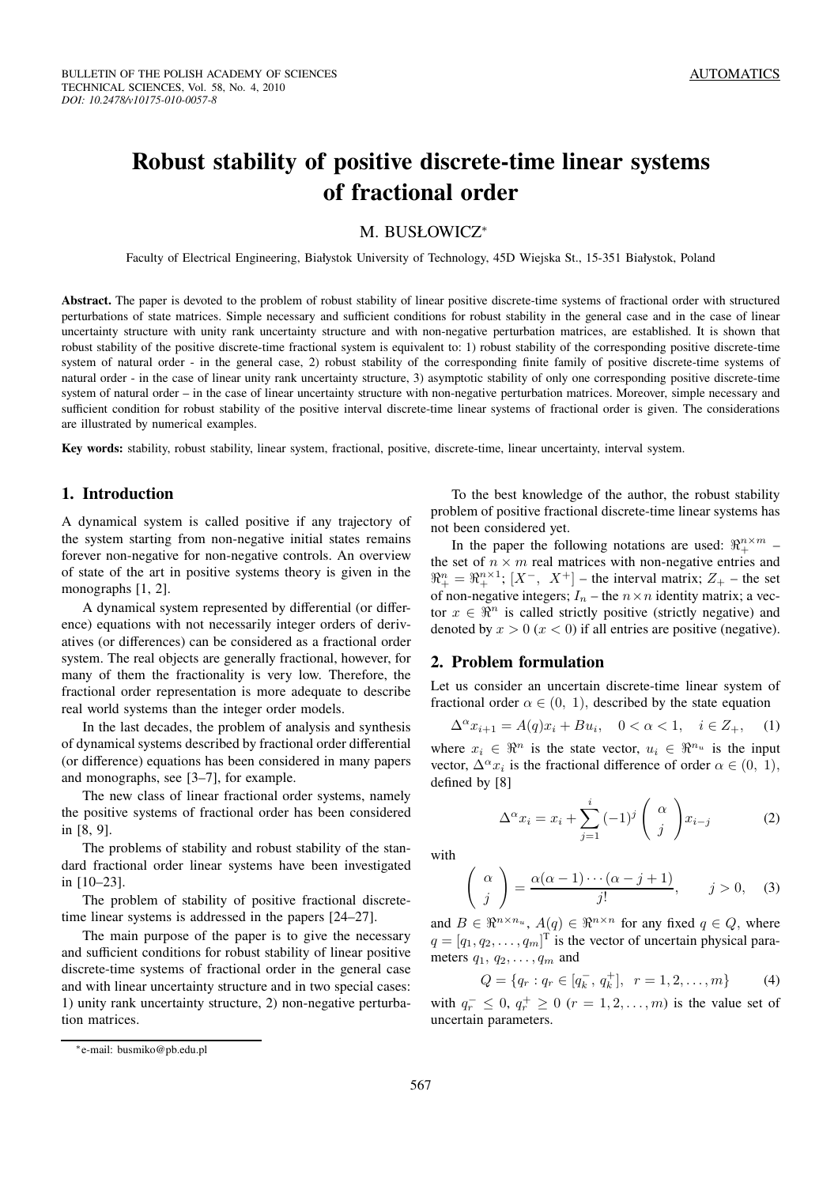# **Robust stability of positive discrete-time linear systems of fractional order**

## M. BUSŁOWICZ<sup>∗</sup>

Faculty of Electrical Engineering, Białystok University of Technology, 45D Wiejska St., 15-351 Białystok, Poland

**Abstract.** The paper is devoted to the problem of robust stability of linear positive discrete-time systems of fractional order with structured perturbations of state matrices. Simple necessary and sufficient conditions for robust stability in the general case and in the case of linear uncertainty structure with unity rank uncertainty structure and with non-negative perturbation matrices, are established. It is shown that robust stability of the positive discrete-time fractional system is equivalent to: 1) robust stability of the corresponding positive discrete-time system of natural order - in the general case, 2) robust stability of the corresponding finite family of positive discrete-time systems of natural order - in the case of linear unity rank uncertainty structure, 3) asymptotic stability of only one corresponding positive discrete-time system of natural order – in the case of linear uncertainty structure with non-negative perturbation matrices. Moreover, simple necessary and sufficient condition for robust stability of the positive interval discrete-time linear systems of fractional order is given. The considerations are illustrated by numerical examples.

**Key words:** stability, robust stability, linear system, fractional, positive, discrete-time, linear uncertainty, interval system.

### **1. Introduction**

A dynamical system is called positive if any trajectory of the system starting from non-negative initial states remains forever non-negative for non-negative controls. An overview of state of the art in positive systems theory is given in the monographs [1, 2].

A dynamical system represented by differential (or difference) equations with not necessarily integer orders of derivatives (or differences) can be considered as a fractional order system. The real objects are generally fractional, however, for many of them the fractionality is very low. Therefore, the fractional order representation is more adequate to describe real world systems than the integer order models.

In the last decades, the problem of analysis and synthesis of dynamical systems described by fractional order differential (or difference) equations has been considered in many papers and monographs, see [3–7], for example.

The new class of linear fractional order systems, namely the positive systems of fractional order has been considered in [8, 9].

The problems of stability and robust stability of the standard fractional order linear systems have been investigated in [10–23].

The problem of stability of positive fractional discretetime linear systems is addressed in the papers [24–27].

The main purpose of the paper is to give the necessary and sufficient conditions for robust stability of linear positive discrete-time systems of fractional order in the general case and with linear uncertainty structure and in two special cases: 1) unity rank uncertainty structure, 2) non-negative perturbation matrices.

To the best knowledge of the author, the robust stability problem of positive fractional discrete-time linear systems has not been considered yet.

In the paper the following notations are used:  $\Re^{n \times m}_+$  – the set of  $n \times m$  real matrices with non-negative entries and  $\Re^n_+ = \Re^{n \times 1}_+$ ;  $[X^-, X^+]$  – the interval matrix;  $Z_+$  – the set of non-negative integers;  $I_n$  – the  $n \times n$  identity matrix; a vector  $x \in \mathbb{R}^n$  is called strictly positive (strictly negative) and denoted by  $x > 0$  ( $x < 0$ ) if all entries are positive (negative).

#### **2. Problem formulation**

Let us consider an uncertain discrete-time linear system of fractional order  $\alpha \in (0, 1)$ , described by the state equation

$$
\Delta^{\alpha} x_{i+1} = A(q)x_i + Bu_i, \quad 0 < \alpha < 1, \quad i \in \mathbb{Z}_+, \tag{1}
$$

where  $x_i \in \mathbb{R}^n$  is the state vector,  $u_i \in \mathbb{R}^{n_u}$  is the input vector,  $\Delta^{\alpha} x_i$  is the fractional difference of order  $\alpha \in (0, 1)$ , defined by [8]

$$
\Delta^{\alpha} x_i = x_i + \sum_{j=1}^i (-1)^j \begin{pmatrix} \alpha \\ j \end{pmatrix} x_{i-j} \tag{2}
$$

with

$$
\begin{pmatrix} \alpha \\ j \end{pmatrix} = \frac{\alpha(\alpha - 1) \cdots (\alpha - j + 1)}{j!}, \qquad j > 0, \quad (3)
$$

and  $B \in \mathbb{R}^{n \times n_u}$ ,  $A(q) \in \mathbb{R}^{n \times n}$  for any fixed  $q \in Q$ , where  $q = [q_1, q_2, \dots, q_m]^T$  is the vector of uncertain physical parameters  $q_1, q_2, \ldots, q_m$  and

$$
Q = \{q_r : q_r \in [q_k^-, q_k^+], \ r = 1, 2, \dots, m\}
$$
 (4)

with  $q_r^- \leq 0$ ,  $q_r^+ \geq 0$  ( $r = 1, 2, \ldots, m$ ) is the value set of uncertain parameters.

<sup>∗</sup>e-mail: busmiko@pb.edu.pl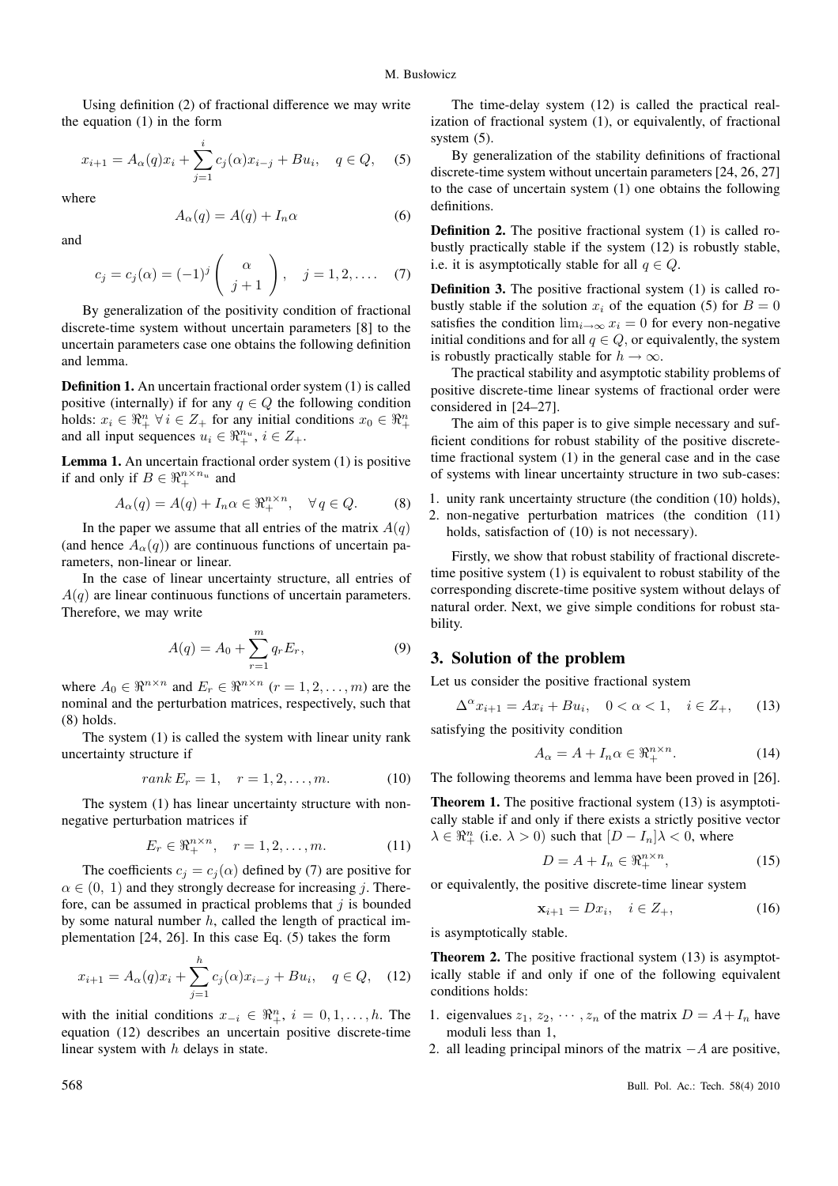Using definition (2) of fractional difference we may write the equation (1) in the form

$$
x_{i+1} = A_{\alpha}(q)x_i + \sum_{j=1}^{i} c_j(\alpha)x_{i-j} + Bu_i, \quad q \in Q, \quad (5)
$$

where

$$
A_{\alpha}(q) = A(q) + I_n \alpha \tag{6}
$$

and

$$
c_j = c_j(\alpha) = (-1)^j \begin{pmatrix} \alpha \\ j+1 \end{pmatrix}, \quad j = 1, 2, .... \quad (7)
$$

By generalization of the positivity condition of fractional discrete-time system without uncertain parameters [8] to the uncertain parameters case one obtains the following definition and lemma.

**Definition 1.** An uncertain fractional order system (1) is called positive (internally) if for any  $q \in Q$  the following condition holds:  $x_i \in \mathbb{R}_+^n \ \forall i \in Z_+$  for any initial conditions  $x_0 \in \mathbb{R}_+^n$ and all input sequences  $u_i \in \mathbb{R}_+^{n_u}$ ,  $i \in Z_+$ .

**Lemma 1.** An uncertain fractional order system (1) is positive if and only if  $B \in \mathbb{R}_+^{n \times n_u}$  and

$$
A_{\alpha}(q) = A(q) + I_n \alpha \in \mathfrak{R}_+^{n \times n}, \quad \forall q \in Q. \tag{8}
$$

In the paper we assume that all entries of the matrix  $A(q)$ (and hence  $A_{\alpha}(q)$ ) are continuous functions of uncertain parameters, non-linear or linear.

In the case of linear uncertainty structure, all entries of  $A(q)$  are linear continuous functions of uncertain parameters. Therefore, we may write

$$
A(q) = A_0 + \sum_{r=1}^{m} q_r E_r,
$$
 (9)

where  $A_0 \in \mathbb{R}^{n \times n}$  and  $E_r \in \mathbb{R}^{n \times n}$   $(r = 1, 2, \dots, m)$  are the nominal and the perturbation matrices, respectively, such that (8) holds.

The system (1) is called the system with linear unity rank uncertainty structure if

$$
rank E_r = 1, \quad r = 1, 2, \dots, m. \tag{10}
$$

The system (1) has linear uncertainty structure with nonnegative perturbation matrices if

$$
E_r \in \Re_+^{n \times n}, \quad r = 1, 2, \dots, m. \tag{11}
$$

The coefficients  $c_i = c_i(\alpha)$  defined by (7) are positive for  $\alpha \in (0, 1)$  and they strongly decrease for increasing j. Therefore, can be assumed in practical problems that  $j$  is bounded by some natural number  $h$ , called the length of practical implementation [24, 26]. In this case Eq. (5) takes the form

$$
x_{i+1} = A_{\alpha}(q)x_i + \sum_{j=1}^{h} c_j(\alpha)x_{i-j} + Bu_i, \quad q \in Q, \quad (12)
$$

with the initial conditions  $x_{-i} \in \mathbb{R}^n_+$ ,  $i = 0, 1, \ldots, h$ . The equation (12) describes an uncertain positive discrete-time linear system with  $h$  delays in state.

The time-delay system (12) is called the practical realization of fractional system (1), or equivalently, of fractional system (5).

By generalization of the stability definitions of fractional discrete-time system without uncertain parameters [24, 26, 27] to the case of uncertain system (1) one obtains the following definitions.

**Definition 2.** The positive fractional system (1) is called robustly practically stable if the system (12) is robustly stable, i.e. it is asymptotically stable for all  $q \in Q$ .

**Definition 3.** The positive fractional system (1) is called robustly stable if the solution  $x_i$  of the equation (5) for  $B = 0$ satisfies the condition  $\lim_{i\to\infty} x_i = 0$  for every non-negative initial conditions and for all  $q \in Q$ , or equivalently, the system is robustly practically stable for  $h \to \infty$ .

The practical stability and asymptotic stability problems of positive discrete-time linear systems of fractional order were considered in [24–27].

The aim of this paper is to give simple necessary and sufficient conditions for robust stability of the positive discretetime fractional system (1) in the general case and in the case of systems with linear uncertainty structure in two sub-cases:

- 1. unity rank uncertainty structure (the condition (10) holds),
- 2. non-negative perturbation matrices (the condition (11) holds, satisfaction of (10) is not necessary).

Firstly, we show that robust stability of fractional discretetime positive system (1) is equivalent to robust stability of the corresponding discrete-time positive system without delays of natural order. Next, we give simple conditions for robust stability.

### **3. Solution of the problem**

Let us consider the positive fractional system

$$
\Delta^{\alpha} x_{i+1} = Ax_i + Bu_i, \quad 0 < \alpha < 1, \quad i \in \mathbb{Z}_+, \tag{13}
$$

satisfying the positivity condition

$$
A_{\alpha} = A + I_n \alpha \in \mathbb{R}_+^{n \times n}.
$$
 (14)

The following theorems and lemma have been proved in [26].

**Theorem 1.** The positive fractional system (13) is asymptotically stable if and only if there exists a strictly positive vector  $\lambda \in \mathbb{R}_+^n$  (i.e.  $\lambda > 0$ ) such that  $[D - I_n] \lambda < 0$ , where

$$
D = A + I_n \in \mathbb{R}_+^{n \times n},\tag{15}
$$

or equivalently, the positive discrete-time linear system

$$
\mathbf{x}_{i+1} = Dx_i, \quad i \in Z_+, \tag{16}
$$

is asymptotically stable.

**Theorem 2.** The positive fractional system (13) is asymptotically stable if and only if one of the following equivalent conditions holds:

- 1. eigenvalues  $z_1, z_2, \dots, z_n$  of the matrix  $D = A + I_n$  have moduli less than 1,
- 2. all leading principal minors of the matrix  $-A$  are positive,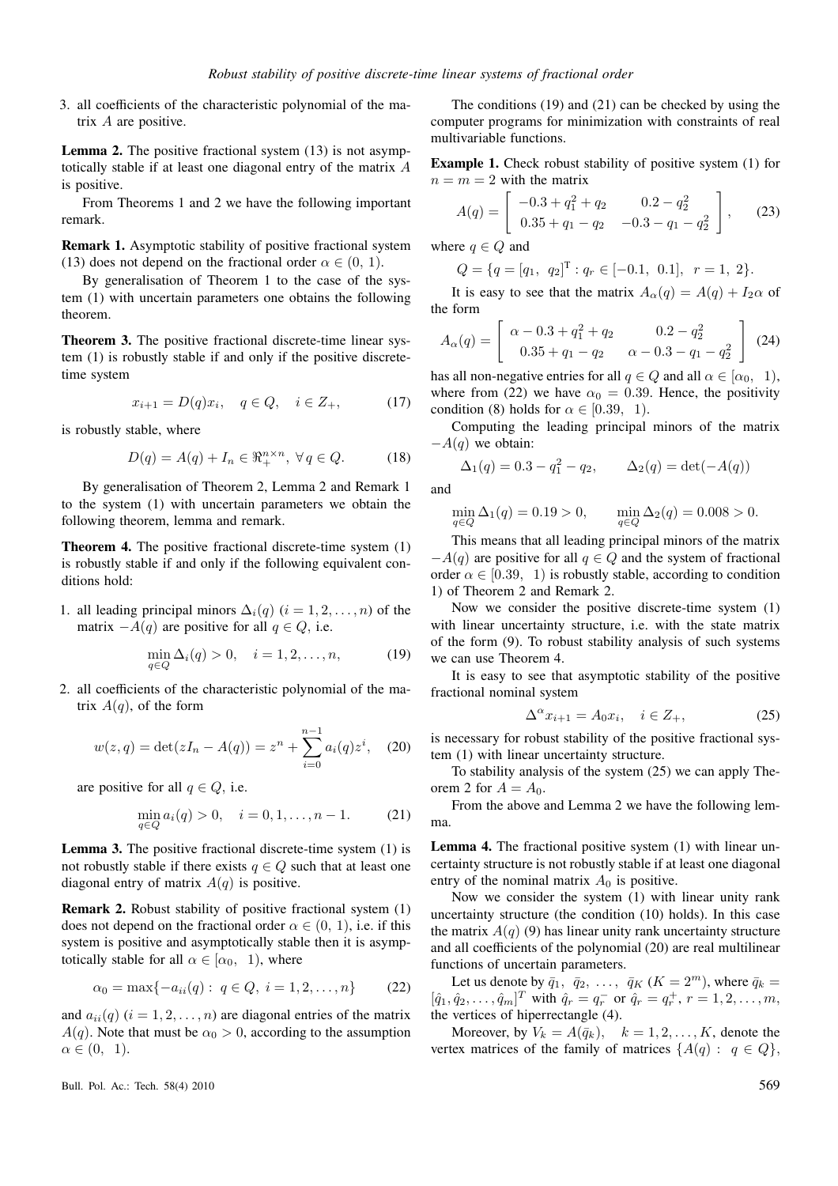3. all coefficients of the characteristic polynomial of the matrix A are positive.

**Lemma 2.** The positive fractional system (13) is not asymptotically stable if at least one diagonal entry of the matrix A is positive.

From Theorems 1 and 2 we have the following important remark.

**Remark 1.** Asymptotic stability of positive fractional system (13) does not depend on the fractional order  $\alpha \in (0, 1)$ .

By generalisation of Theorem 1 to the case of the system (1) with uncertain parameters one obtains the following theorem.

**Theorem 3.** The positive fractional discrete-time linear system (1) is robustly stable if and only if the positive discretetime system

$$
x_{i+1} = D(q)x_i, \quad q \in Q, \quad i \in Z_+, \tag{17}
$$

is robustly stable, where

$$
D(q) = A(q) + I_n \in \mathbb{R}_+^{n \times n}, \ \forall q \in Q. \tag{18}
$$

By generalisation of Theorem 2, Lemma 2 and Remark 1 to the system (1) with uncertain parameters we obtain the following theorem, lemma and remark.

**Theorem 4.** The positive fractional discrete-time system (1) is robustly stable if and only if the following equivalent conditions hold:

1. all leading principal minors  $\Delta_i(q)$   $(i = 1, 2, \ldots, n)$  of the matrix  $-A(q)$  are positive for all  $q \in Q$ , i.e.

$$
\min_{q \in Q} \Delta_i(q) > 0, \quad i = 1, 2, \dots, n,
$$
 (19)

2. all coefficients of the characteristic polynomial of the matrix  $A(q)$ , of the form

$$
w(z,q) = \det(zI_n - A(q)) = z^n + \sum_{i=0}^{n-1} a_i(q)z^i, \quad (20)
$$

are positive for all  $q \in Q$ , i.e.

$$
\min_{q \in Q} a_i(q) > 0, \quad i = 0, 1, \dots, n - 1.
$$
 (21)

**Lemma 3.** The positive fractional discrete-time system (1) is not robustly stable if there exists  $q \in Q$  such that at least one diagonal entry of matrix  $A(q)$  is positive.

**Remark 2.** Robust stability of positive fractional system (1) does not depend on the fractional order  $\alpha \in (0, 1)$ , i.e. if this system is positive and asymptotically stable then it is asymptotically stable for all  $\alpha \in [\alpha_0, 1)$ , where

$$
\alpha_0 = \max\{-a_{ii}(q): q \in Q, i = 1, 2, \dots, n\}
$$
 (22)

and  $a_{ii}(q)$   $(i = 1, 2, \ldots, n)$  are diagonal entries of the matrix  $A(q)$ . Note that must be  $\alpha_0 > 0$ , according to the assumption  $\alpha \in (0, 1)$ .

The conditions (19) and (21) can be checked by using the computer programs for minimization with constraints of real multivariable functions.

**Example 1.** Check robust stability of positive system (1) for  $n = m = 2$  with the matrix

$$
A(q) = \begin{bmatrix} -0.3 + q_1^2 + q_2 & 0.2 - q_2^2 \\ 0.35 + q_1 - q_2 & -0.3 - q_1 - q_2^2 \end{bmatrix},
$$
 (23)

where  $q \in Q$  and

$$
Q = \{q = [q_1, q_2]^T : q_r \in [-0.1, 0.1], r = 1, 2\}.
$$

It is easy to see that the matrix  $A_{\alpha}(q) = A(q) + I_2 \alpha$  of the form

$$
A_{\alpha}(q) = \begin{bmatrix} \alpha - 0.3 + q_1^2 + q_2 & 0.2 - q_2^2 \\ 0.35 + q_1 - q_2 & \alpha - 0.3 - q_1 - q_2^2 \end{bmatrix}
$$
 (24)

has all non-negative entries for all  $q \in Q$  and all  $\alpha \in [\alpha_0, 1)$ , where from (22) we have  $\alpha_0 = 0.39$ . Hence, the positivity condition (8) holds for  $\alpha \in [0.39, 1)$ .

Computing the leading principal minors of the matrix  $-A(q)$  we obtain:

$$
\Delta_1(q)=0.3-q_1^2-q_2,\qquad \Delta_2(q)=\det(-A(q))
$$
 and

$$
\min_{q \in Q} \Delta_1(q) = 0.19 > 0, \qquad \min_{q \in Q} \Delta_2(q) = 0.008 > 0.
$$

This means that all leading principal minors of the matrix  $-A(q)$  are positive for all  $q \in Q$  and the system of fractional order  $\alpha \in [0.39, 1)$  is robustly stable, according to condition 1) of Theorem 2 and Remark 2.

Now we consider the positive discrete-time system (1) with linear uncertainty structure, i.e. with the state matrix of the form (9). To robust stability analysis of such systems we can use Theorem 4.

It is easy to see that asymptotic stability of the positive fractional nominal system

$$
\Delta^{\alpha} x_{i+1} = A_0 x_i, \quad i \in Z_+, \tag{25}
$$

is necessary for robust stability of the positive fractional system (1) with linear uncertainty structure.

To stability analysis of the system (25) we can apply Theorem 2 for  $A = A_0$ .

From the above and Lemma 2 we have the following lemma.

**Lemma 4.** The fractional positive system (1) with linear uncertainty structure is not robustly stable if at least one diagonal entry of the nominal matrix  $A_0$  is positive.

Now we consider the system (1) with linear unity rank uncertainty structure (the condition (10) holds). In this case the matrix  $A(q)$  (9) has linear unity rank uncertainty structure and all coefficients of the polynomial (20) are real multilinear functions of uncertain parameters.

Let us denote by  $\bar{q}_1$ ,  $\bar{q}_2$ , ...,  $\bar{q}_K$  ( $K = 2^m$ ), where  $\bar{q}_k =$  $[\hat{q}_1, \hat{q}_2, \dots, \hat{q}_m]^T$  with  $\hat{q}_r = q_r^-$  or  $\hat{q}_r = q_r^+$ ,  $r = 1, 2, \dots, m$ , the vertices of hiperrectangle (4).

Moreover, by  $V_k = A(\bar{q}_k)$ ,  $k = 1, 2, ..., K$ , denote the vertex matrices of the family of matrices  $\{A(q): q \in Q\}$ ,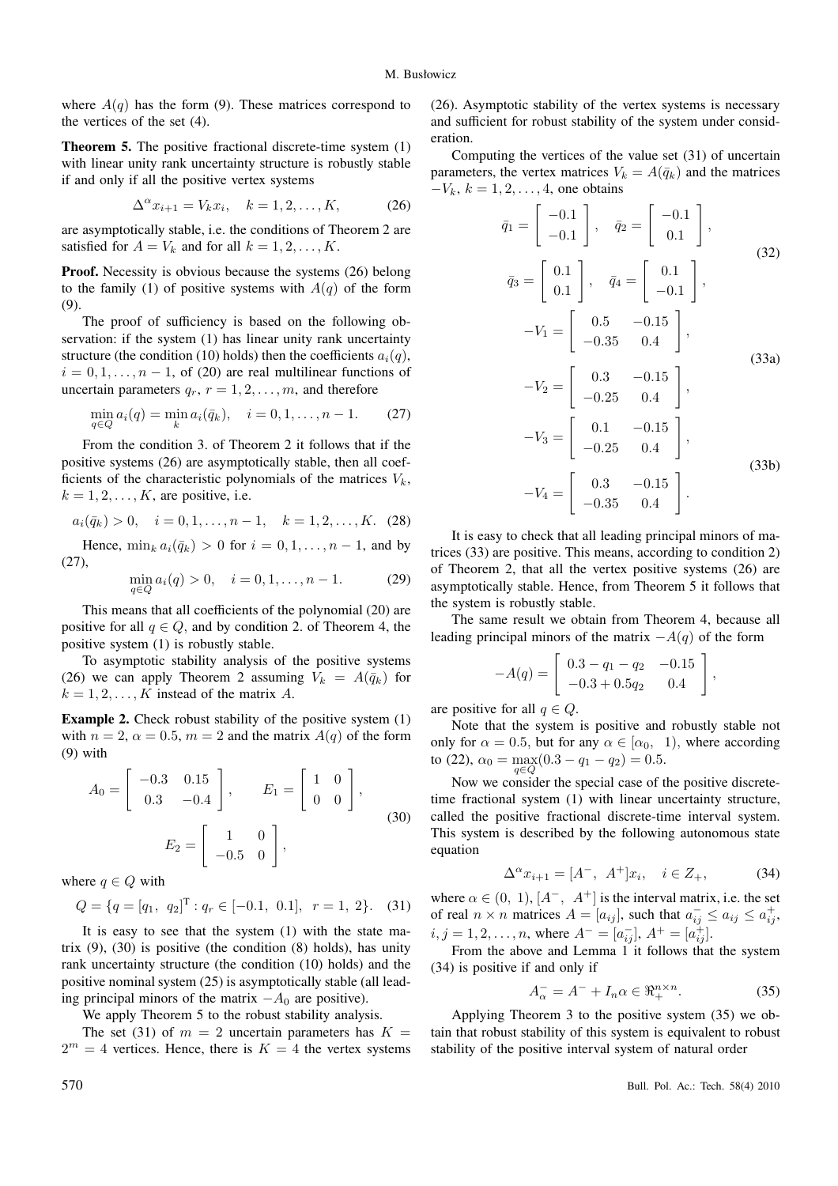where  $A(q)$  has the form (9). These matrices correspond to the vertices of the set (4).

**Theorem 5.** The positive fractional discrete-time system (1) with linear unity rank uncertainty structure is robustly stable if and only if all the positive vertex systems

$$
\Delta^{\alpha} x_{i+1} = V_k x_i, \quad k = 1, 2, \dots, K,
$$
 (26)

are asymptotically stable, i.e. the conditions of Theorem 2 are satisfied for  $A = V_k$  and for all  $k = 1, 2, \dots, K$ .

**Proof.** Necessity is obvious because the systems (26) belong to the family (1) of positive systems with  $A(q)$  of the form (9).

The proof of sufficiency is based on the following observation: if the system (1) has linear unity rank uncertainty structure (the condition (10) holds) then the coefficients  $a_i(q)$ ,  $i = 0, 1, \ldots, n - 1$ , of (20) are real multilinear functions of uncertain parameters  $q_r$ ,  $r = 1, 2, \ldots, m$ , and therefore

$$
\min_{q \in Q} a_i(q) = \min_k a_i(\bar{q}_k), \quad i = 0, 1, \dots, n - 1.
$$
 (27)

From the condition 3. of Theorem 2 it follows that if the positive systems (26) are asymptotically stable, then all coefficients of the characteristic polynomials of the matrices  $V_k$ ,  $k = 1, 2, \ldots, K$ , are positive, i.e.

$$
a_i(\bar{q}_k) > 0, \quad i = 0, 1, \dots, n-1, \quad k = 1, 2, \dots, K.
$$
 (28)

Hence,  $\min_k a_i(\bar{q}_k) > 0$  for  $i = 0, 1, \ldots, n-1$ , and by (27),

$$
\min_{q \in Q} a_i(q) > 0, \quad i = 0, 1, \dots, n - 1.
$$
 (29)

This means that all coefficients of the polynomial (20) are positive for all  $q \in Q$ , and by condition 2. of Theorem 4, the positive system (1) is robustly stable.

To asymptotic stability analysis of the positive systems (26) we can apply Theorem 2 assuming  $V_k = A(\bar{q}_k)$  for  $k = 1, 2, \ldots, K$  instead of the matrix A.

**Example 2.** Check robust stability of the positive system (1) with  $n = 2$ ,  $\alpha = 0.5$ ,  $m = 2$  and the matrix  $A(q)$  of the form (9) with

$$
A_0 = \begin{bmatrix} -0.3 & 0.15 \\ 0.3 & -0.4 \end{bmatrix}, \qquad E_1 = \begin{bmatrix} 1 & 0 \\ 0 & 0 \end{bmatrix},
$$

$$
E_2 = \begin{bmatrix} 1 & 0 \\ -0.5 & 0 \end{bmatrix},
$$
(30)

where  $q \in Q$  with

$$
Q = \{q = [q_1, q_2]^{T} : q_r \in [-0.1, 0.1], r = 1, 2\}.
$$
 (31)

It is easy to see that the system (1) with the state matrix  $(9)$ ,  $(30)$  is positive (the condition  $(8)$  holds), has unity rank uncertainty structure (the condition (10) holds) and the positive nominal system (25) is asymptotically stable (all leading principal minors of the matrix  $-A_0$  are positive).

We apply Theorem 5 to the robust stability analysis.

The set (31) of  $m = 2$  uncertain parameters has  $K =$  $2^m = 4$  vertices. Hence, there is  $K = 4$  the vertex systems (26). Asymptotic stability of the vertex systems is necessary and sufficient for robust stability of the system under consideration.

Computing the vertices of the value set (31) of uncertain parameters, the vertex matrices  $V_k = A(\bar{q}_k)$  and the matrices  $-V_k$ ,  $k = 1, 2, \ldots, 4$ , one obtains

$$
\bar{q}_1 = \begin{bmatrix} -0.1 \\ -0.1 \end{bmatrix}, \quad \bar{q}_2 = \begin{bmatrix} -0.1 \\ 0.1 \end{bmatrix},
$$
  
\n
$$
\bar{q}_3 = \begin{bmatrix} 0.1 \\ 0.1 \end{bmatrix}, \quad \bar{q}_4 = \begin{bmatrix} 0.1 \\ -0.1 \end{bmatrix},
$$
  
\n
$$
-V_1 = \begin{bmatrix} 0.5 & -0.15 \\ -0.35 & 0.4 \end{bmatrix},
$$
  
\n
$$
-V_2 = \begin{bmatrix} 0.3 & -0.15 \\ -0.25 & 0.4 \end{bmatrix},
$$
  
\n
$$
-V_3 = \begin{bmatrix} 0.1 & -0.15 \\ -0.25 & 0.4 \end{bmatrix},
$$
  
\n
$$
-V_4 = \begin{bmatrix} 0.3 & -0.15 \\ -0.35 & 0.4 \end{bmatrix}.
$$
  
\n(33b)

It is easy to check that all leading principal minors of matrices (33) are positive. This means, according to condition 2) of Theorem 2, that all the vertex positive systems (26) are asymptotically stable. Hence, from Theorem 5 it follows that the system is robustly stable.

The same result we obtain from Theorem 4, because all leading principal minors of the matrix  $-A(q)$  of the form

$$
-A(q) = \begin{bmatrix} 0.3 - q_1 - q_2 & -0.15 \\ -0.3 + 0.5q_2 & 0.4 \end{bmatrix},
$$

are positive for all  $q \in Q$ .

Note that the system is positive and robustly stable not only for  $\alpha = 0.5$ , but for any  $\alpha \in [\alpha_0, 1)$ , where according to (22),  $\alpha_0 = \max_{q \in Q} (0.3 - q_1 - q_2) = 0.5$ .

Now we consider the special case of the positive discretetime fractional system (1) with linear uncertainty structure, called the positive fractional discrete-time interval system. This system is described by the following autonomous state equation

$$
\Delta^{\alpha} x_{i+1} = [A^-, \ A^+] x_i, \quad i \in Z_+, \tag{34}
$$

where  $\alpha \in (0, 1), [A^-, A^+]$  is the interval matrix, i.e. the set of real  $n \times n$  matrices  $A = [a_{ij}]$ , such that  $a_{ij}^- \le a_{ij} \le a_{ij}^+$ ,  $i, j = 1, 2, \dots, n$ , where  $A^- = [a_{ij}^-]$ ,  $A^+ = [a_{ij}^+]$ .

From the above and Lemma 1 it follows that the system (34) is positive if and only if

$$
A_{\alpha}^- = A^- + I_n \alpha \in \mathbb{R}_+^{n \times n}.
$$
 (35)

Applying Theorem 3 to the positive system (35) we obtain that robust stability of this system is equivalent to robust stability of the positive interval system of natural order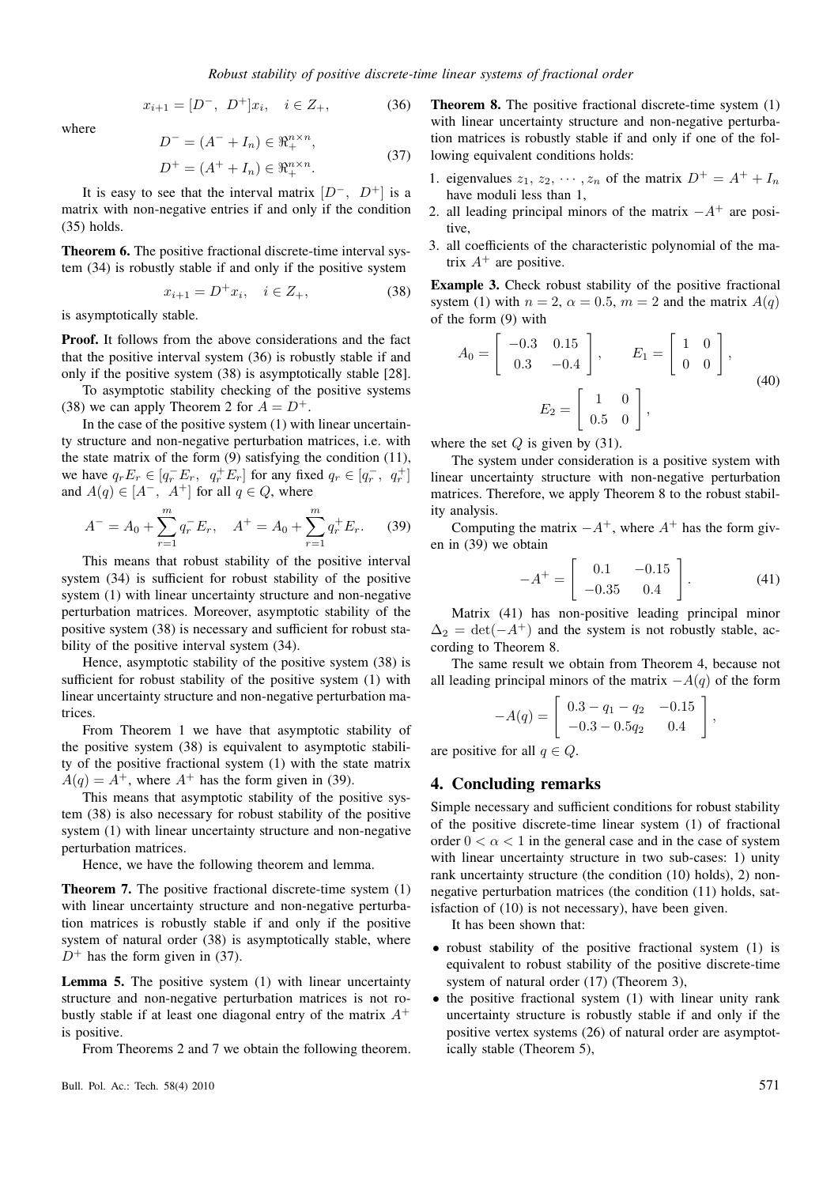$$
x_{i+1} = [D^-, \ D^+]x_i, \quad i \in Z_+, \tag{36}
$$

where

$$
D^{-} = (A^{-} + I_{n}) \in \mathbb{R}_{+}^{n \times n},
$$
  
\n
$$
D^{+} = (A^{+} + I_{n}) \in \mathbb{R}_{+}^{n \times n}.
$$
\n(37)

It is easy to see that the interval matrix  $[D^-, D^+]$  is a matrix with non-negative entries if and only if the condition (35) holds.

**Theorem 6.** The positive fractional discrete-time interval system (34) is robustly stable if and only if the positive system

$$
x_{i+1} = D^+ x_i, \quad i \in Z_+, \tag{38}
$$

is asymptotically stable.

**Proof.** It follows from the above considerations and the fact that the positive interval system (36) is robustly stable if and only if the positive system (38) is asymptotically stable [28].

To asymptotic stability checking of the positive systems (38) we can apply Theorem 2 for  $A = D^{+}$ .

In the case of the positive system (1) with linear uncertainty structure and non-negative perturbation matrices, i.e. with the state matrix of the form  $(9)$  satisfying the condition  $(11)$ , we have  $q_r E_r \in [q_r^- E_r, q_r^+ E_r]$  for any fixed  $q_r \in [q_r^-, q_r^+]$ and  $A(q) \in [A^-, A^+]$  for all  $q \in Q$ , where

$$
A^{-} = A_0 + \sum_{r=1}^{m} q_r^{-} E_r, \quad A^{+} = A_0 + \sum_{r=1}^{m} q_r^{+} E_r.
$$
 (39)

This means that robust stability of the positive interval system (34) is sufficient for robust stability of the positive system (1) with linear uncertainty structure and non-negative perturbation matrices. Moreover, asymptotic stability of the positive system (38) is necessary and sufficient for robust stability of the positive interval system (34).

Hence, asymptotic stability of the positive system (38) is sufficient for robust stability of the positive system (1) with linear uncertainty structure and non-negative perturbation matrices.

From Theorem 1 we have that asymptotic stability of the positive system (38) is equivalent to asymptotic stability of the positive fractional system (1) with the state matrix  $A(q) = A^{+}$ , where  $A^{+}$  has the form given in (39).

This means that asymptotic stability of the positive system (38) is also necessary for robust stability of the positive system (1) with linear uncertainty structure and non-negative perturbation matrices.

Hence, we have the following theorem and lemma.

**Theorem 7.** The positive fractional discrete-time system (1) with linear uncertainty structure and non-negative perturbation matrices is robustly stable if and only if the positive system of natural order (38) is asymptotically stable, where  $D^+$  has the form given in (37).

**Lemma 5.** The positive system (1) with linear uncertainty structure and non-negative perturbation matrices is not robustly stable if at least one diagonal entry of the matrix  $A^+$ is positive.

From Theorems 2 and 7 we obtain the following theorem.

**Theorem 8.** The positive fractional discrete-time system (1) with linear uncertainty structure and non-negative perturbation matrices is robustly stable if and only if one of the following equivalent conditions holds:

- 1. eigenvalues  $z_1, z_2, \cdots, z_n$  of the matrix  $D^+ = A^+ + I_n$ have moduli less than 1,
- 2. all leading principal minors of the matrix  $-A^+$  are positive,
- 3. all coefficients of the characteristic polynomial of the matrix  $A^+$  are positive.

**Example 3.** Check robust stability of the positive fractional system (1) with  $n = 2$ ,  $\alpha = 0.5$ ,  $m = 2$  and the matrix  $A(q)$ of the form (9) with

$$
A_0 = \begin{bmatrix} -0.3 & 0.15 \\ 0.3 & -0.4 \end{bmatrix}, \qquad E_1 = \begin{bmatrix} 1 & 0 \\ 0 & 0 \end{bmatrix},
$$

$$
E_2 = \begin{bmatrix} 1 & 0 \\ 0.5 & 0 \end{bmatrix},
$$
(40)

where the set  $Q$  is given by (31).

The system under consideration is a positive system with linear uncertainty structure with non-negative perturbation matrices. Therefore, we apply Theorem 8 to the robust stability analysis.

Computing the matrix  $-A^+$ , where  $A^+$  has the form given in (39) we obtain

$$
-A^{+} = \begin{bmatrix} 0.1 & -0.15 \\ -0.35 & 0.4 \end{bmatrix}.
$$
 (41)

Matrix (41) has non-positive leading principal minor  $\Delta_2 = \det(-A^+)$  and the system is not robustly stable, according to Theorem 8.

The same result we obtain from Theorem 4, because not all leading principal minors of the matrix  $-A(q)$  of the form

$$
-A(q) = \begin{bmatrix} 0.3 - q_1 - q_2 & -0.15 \\ -0.3 - 0.5q_2 & 0.4 \end{bmatrix},
$$

are positive for all  $q \in Q$ .

## **4. Concluding remarks**

Simple necessary and sufficient conditions for robust stability of the positive discrete-time linear system (1) of fractional order  $0 < \alpha < 1$  in the general case and in the case of system with linear uncertainty structure in two sub-cases: 1) unity rank uncertainty structure (the condition (10) holds), 2) nonnegative perturbation matrices (the condition (11) holds, satisfaction of (10) is not necessary), have been given.

It has been shown that:

- robust stability of the positive fractional system (1) is equivalent to robust stability of the positive discrete-time system of natural order (17) (Theorem 3),
- the positive fractional system (1) with linear unity rank uncertainty structure is robustly stable if and only if the positive vertex systems (26) of natural order are asymptotically stable (Theorem 5),